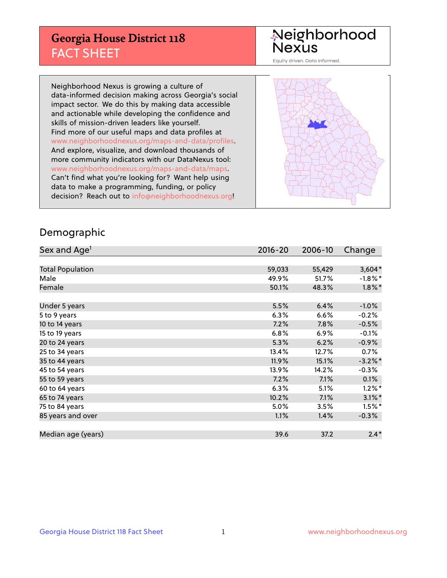## **Georgia House District 118** FACT SHEET

# Neighborhood<br>Nexus

Equity driven. Data informed.

Neighborhood Nexus is growing a culture of data-informed decision making across Georgia's social impact sector. We do this by making data accessible and actionable while developing the confidence and skills of mission-driven leaders like yourself. Find more of our useful maps and data profiles at www.neighborhoodnexus.org/maps-and-data/profiles. And explore, visualize, and download thousands of more community indicators with our DataNexus tool: www.neighborhoodnexus.org/maps-and-data/maps. Can't find what you're looking for? Want help using data to make a programming, funding, or policy decision? Reach out to [info@neighborhoodnexus.org!](mailto:info@neighborhoodnexus.org)



#### Demographic

| Sex and Age <sup>1</sup> | $2016 - 20$ | 2006-10 | Change     |
|--------------------------|-------------|---------|------------|
|                          |             |         |            |
| <b>Total Population</b>  | 59,033      | 55,429  | $3,604*$   |
| Male                     | 49.9%       | 51.7%   | $-1.8\%$ * |
| Female                   | 50.1%       | 48.3%   | $1.8\%$ *  |
|                          |             |         |            |
| Under 5 years            | 5.5%        | 6.4%    | $-1.0%$    |
| 5 to 9 years             | 6.3%        | 6.6%    | $-0.2%$    |
| 10 to 14 years           | 7.2%        | 7.8%    | $-0.5%$    |
| 15 to 19 years           | 6.8%        | 6.9%    | $-0.1%$    |
| 20 to 24 years           | 5.3%        | 6.2%    | $-0.9%$    |
| 25 to 34 years           | 13.4%       | 12.7%   | 0.7%       |
| 35 to 44 years           | 11.9%       | 15.1%   | $-3.2\%$ * |
| 45 to 54 years           | 13.9%       | 14.2%   | $-0.3%$    |
| 55 to 59 years           | 7.2%        | 7.1%    | 0.1%       |
| 60 to 64 years           | 6.3%        | 5.1%    | $1.2\%$ *  |
| 65 to 74 years           | 10.2%       | 7.1%    | $3.1\%$ *  |
| 75 to 84 years           | 5.0%        | 3.5%    | $1.5%$ *   |
| 85 years and over        | 1.1%        | 1.4%    | $-0.3%$    |
|                          |             |         |            |
| Median age (years)       | 39.6        | 37.2    | $2.4*$     |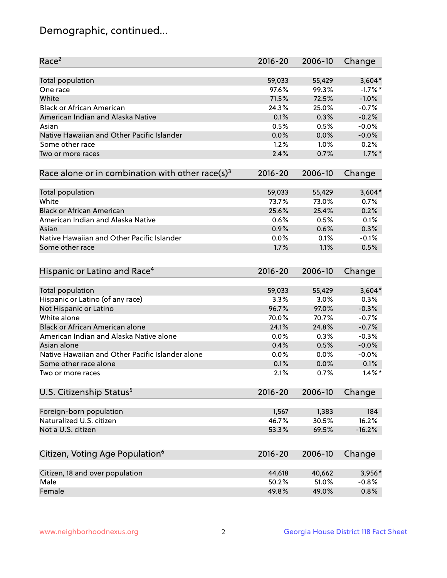## Demographic, continued...

| Race <sup>2</sup>                                            | $2016 - 20$  | 2006-10      | Change            |
|--------------------------------------------------------------|--------------|--------------|-------------------|
| <b>Total population</b>                                      | 59,033       | 55,429       | $3,604*$          |
| One race                                                     | 97.6%        | 99.3%        | $-1.7%$ *         |
| White                                                        | 71.5%        | 72.5%        | $-1.0%$           |
| <b>Black or African American</b>                             | 24.3%        | 25.0%        | $-0.7%$           |
| American Indian and Alaska Native                            | 0.1%         | 0.3%         | $-0.2%$           |
| Asian                                                        | 0.5%         | 0.5%         | $-0.0%$           |
| Native Hawaiian and Other Pacific Islander                   | 0.0%         | 0.0%         | $-0.0%$           |
| Some other race                                              | 1.2%         | 1.0%         | 0.2%              |
| Two or more races                                            | 2.4%         | 0.7%         | $1.7\%$ *         |
| Race alone or in combination with other race(s) <sup>3</sup> | $2016 - 20$  | 2006-10      | Change            |
|                                                              |              |              |                   |
| Total population                                             | 59,033       | 55,429       | $3,604*$          |
| White                                                        | 73.7%        | 73.0%        | 0.7%              |
| <b>Black or African American</b>                             | 25.6%        | 25.4%        | 0.2%              |
| American Indian and Alaska Native                            | 0.6%         | 0.5%         | 0.1%              |
| Asian                                                        | 0.9%         | 0.6%         | 0.3%              |
| Native Hawaiian and Other Pacific Islander                   | 0.0%         | 0.1%         | $-0.1%$           |
| Some other race                                              | 1.7%         | 1.1%         | 0.5%              |
| Hispanic or Latino and Race <sup>4</sup>                     | $2016 - 20$  | 2006-10      | Change            |
| <b>Total population</b>                                      | 59,033       | 55,429       | $3,604*$          |
| Hispanic or Latino (of any race)                             | 3.3%         | 3.0%         | 0.3%              |
| Not Hispanic or Latino                                       | 96.7%        | 97.0%        | $-0.3%$           |
| White alone                                                  | 70.0%        | 70.7%        | $-0.7%$           |
| Black or African American alone                              | 24.1%        | 24.8%        | $-0.7%$           |
| American Indian and Alaska Native alone                      | 0.0%         | 0.3%         | $-0.3%$           |
| Asian alone                                                  | 0.4%         | 0.5%         | $-0.0%$           |
| Native Hawaiian and Other Pacific Islander alone             | $0.0\%$      | 0.0%         | $-0.0%$           |
|                                                              |              |              |                   |
| Some other race alone<br>Two or more races                   | 0.1%<br>2.1% | 0.0%<br>0.7% | 0.1%<br>$1.4\%$ * |
|                                                              |              |              |                   |
| U.S. Citizenship Status <sup>5</sup>                         | $2016 - 20$  | 2006-10      | Change            |
| Foreign-born population                                      | 1,567        | 1,383        | 184               |
| Naturalized U.S. citizen                                     | 46.7%        | 30.5%        | 16.2%             |
| Not a U.S. citizen                                           | 53.3%        | 69.5%        | $-16.2%$          |
|                                                              |              |              |                   |
| Citizen, Voting Age Population <sup>6</sup>                  | 2016-20      | 2006-10      | Change            |
| Citizen, 18 and over population                              | 44,618       | 40,662       | 3,956*            |
| Male                                                         | 50.2%        | 51.0%        | $-0.8%$           |
| Female                                                       | 49.8%        | 49.0%        | 0.8%              |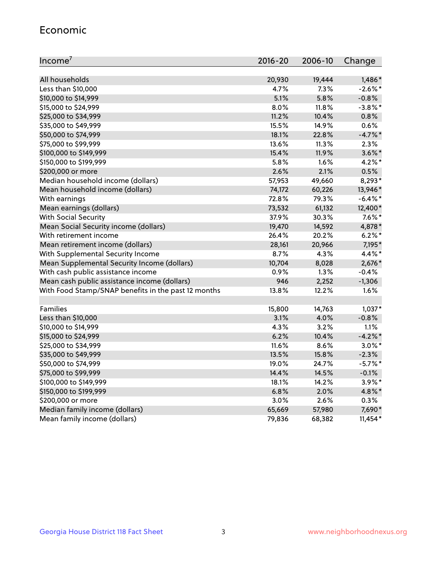#### Economic

| Income <sup>7</sup>                                 | 2016-20 | 2006-10 | Change     |
|-----------------------------------------------------|---------|---------|------------|
|                                                     |         |         |            |
| All households                                      | 20,930  | 19,444  | 1,486*     |
| Less than \$10,000                                  | 4.7%    | 7.3%    | $-2.6\%$ * |
| \$10,000 to \$14,999                                | 5.1%    | 5.8%    | $-0.8%$    |
| \$15,000 to \$24,999                                | 8.0%    | 11.8%   | $-3.8\%$ * |
| \$25,000 to \$34,999                                | 11.2%   | 10.4%   | 0.8%       |
| \$35,000 to \$49,999                                | 15.5%   | 14.9%   | 0.6%       |
| \$50,000 to \$74,999                                | 18.1%   | 22.8%   | $-4.7%$ *  |
| \$75,000 to \$99,999                                | 13.6%   | 11.3%   | 2.3%       |
| \$100,000 to \$149,999                              | 15.4%   | 11.9%   | $3.6\%$ *  |
| \$150,000 to \$199,999                              | 5.8%    | 1.6%    | $4.2\%$ *  |
| \$200,000 or more                                   | 2.6%    | 2.1%    | 0.5%       |
| Median household income (dollars)                   | 57,953  | 49,660  | 8,293*     |
| Mean household income (dollars)                     | 74,172  | 60,226  | 13,946*    |
| With earnings                                       | 72.8%   | 79.3%   | $-6.4\%$ * |
| Mean earnings (dollars)                             | 73,532  | 61,132  | 12,400*    |
| <b>With Social Security</b>                         | 37.9%   | 30.3%   | $7.6\%$ *  |
| Mean Social Security income (dollars)               | 19,470  | 14,592  | 4,878*     |
| With retirement income                              | 26.4%   | 20.2%   | $6.2\%$ *  |
| Mean retirement income (dollars)                    | 28,161  | 20,966  | 7,195*     |
| With Supplemental Security Income                   | $8.7\%$ | 4.3%    | 4.4%*      |
| Mean Supplemental Security Income (dollars)         | 10,704  | 8,028   | 2,676*     |
| With cash public assistance income                  | 0.9%    | 1.3%    | $-0.4%$    |
| Mean cash public assistance income (dollars)        | 946     | 2,252   | $-1,306$   |
| With Food Stamp/SNAP benefits in the past 12 months | 13.8%   | 12.2%   | 1.6%       |
|                                                     |         |         |            |
| Families                                            | 15,800  | 14,763  | $1,037*$   |
| Less than \$10,000                                  | 3.1%    | 4.0%    | $-0.8%$    |
| \$10,000 to \$14,999                                | 4.3%    | 3.2%    | 1.1%       |
| \$15,000 to \$24,999                                | 6.2%    | 10.4%   | $-4.2\%$ * |
| \$25,000 to \$34,999                                | 11.6%   | 8.6%    | $3.0\%$ *  |
| \$35,000 to \$49,999                                | 13.5%   | 15.8%   | $-2.3%$    |
| \$50,000 to \$74,999                                | 19.0%   | 24.7%   | $-5.7\%$ * |
| \$75,000 to \$99,999                                | 14.4%   | 14.5%   | $-0.1%$    |
| \$100,000 to \$149,999                              | 18.1%   | 14.2%   | $3.9\%$ *  |
| \$150,000 to \$199,999                              | 6.8%    | 2.0%    | 4.8%*      |
| \$200,000 or more                                   | 3.0%    | 2.6%    | 0.3%       |
| Median family income (dollars)                      | 65,669  | 57,980  | 7,690*     |
| Mean family income (dollars)                        | 79,836  | 68,382  | $11,454*$  |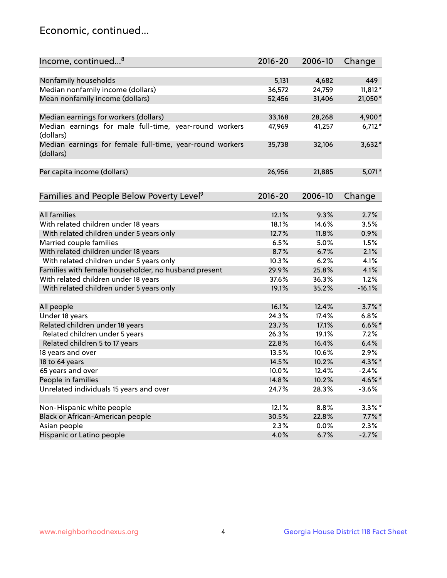## Economic, continued...

| Income, continued <sup>8</sup>                           | $2016 - 20$ | 2006-10 | Change    |
|----------------------------------------------------------|-------------|---------|-----------|
|                                                          |             |         |           |
| Nonfamily households                                     | 5,131       | 4,682   | 449       |
| Median nonfamily income (dollars)                        | 36,572      | 24,759  | $11,812*$ |
| Mean nonfamily income (dollars)                          | 52,456      | 31,406  | 21,050*   |
|                                                          |             |         |           |
| Median earnings for workers (dollars)                    | 33,168      | 28,268  | 4,900*    |
| Median earnings for male full-time, year-round workers   | 47,969      | 41,257  | $6,712*$  |
| (dollars)                                                |             |         |           |
| Median earnings for female full-time, year-round workers | 35,738      | 32,106  | 3,632*    |
| (dollars)                                                |             |         |           |
|                                                          |             |         |           |
| Per capita income (dollars)                              | 26,956      | 21,885  | 5,071*    |
|                                                          |             |         |           |
| Families and People Below Poverty Level <sup>9</sup>     | 2016-20     | 2006-10 | Change    |
|                                                          |             |         |           |
| <b>All families</b>                                      | 12.1%       | 9.3%    | 2.7%      |
| With related children under 18 years                     | 18.1%       | 14.6%   | 3.5%      |
| With related children under 5 years only                 | 12.7%       | 11.8%   | 0.9%      |
| Married couple families                                  | 6.5%        | 5.0%    | 1.5%      |
| With related children under 18 years                     | 8.7%        | 6.7%    | 2.1%      |
| With related children under 5 years only                 | 10.3%       | 6.2%    | 4.1%      |
| Families with female householder, no husband present     | 29.9%       | 25.8%   | 4.1%      |
| With related children under 18 years                     | 37.6%       | 36.3%   | 1.2%      |
| With related children under 5 years only                 | 19.1%       | 35.2%   | $-16.1%$  |
|                                                          |             |         |           |
| All people                                               | 16.1%       | 12.4%   | $3.7\%$ * |
| Under 18 years                                           | 24.3%       | 17.4%   | 6.8%      |
| Related children under 18 years                          | 23.7%       | 17.1%   | $6.6\%$ * |
| Related children under 5 years                           | 26.3%       | 19.1%   | 7.2%      |
| Related children 5 to 17 years                           | 22.8%       | 16.4%   | 6.4%      |
| 18 years and over                                        | 13.5%       | 10.6%   | 2.9%      |
| 18 to 64 years                                           | 14.5%       | 10.2%   | 4.3%*     |
| 65 years and over                                        | 10.0%       | 12.4%   | $-2.4%$   |
| People in families                                       | 14.8%       | 10.2%   | 4.6%*     |
| Unrelated individuals 15 years and over                  | 24.7%       | 28.3%   | $-3.6%$   |
|                                                          |             |         |           |
| Non-Hispanic white people                                | 12.1%       | 8.8%    | $3.3\%$ * |
| Black or African-American people                         | 30.5%       | 22.8%   | $7.7\%$ * |
| Asian people                                             | 2.3%        | $0.0\%$ | 2.3%      |
| Hispanic or Latino people                                | 4.0%        | 6.7%    | $-2.7%$   |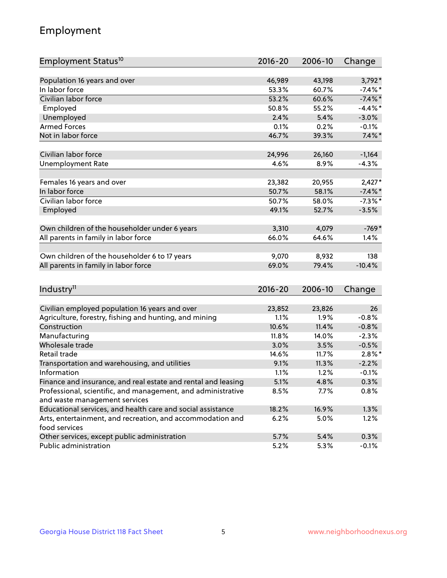## Employment

| Employment Status <sup>10</sup>                               | $2016 - 20$ | 2006-10 | Change     |
|---------------------------------------------------------------|-------------|---------|------------|
|                                                               |             |         |            |
| Population 16 years and over                                  | 46,989      | 43,198  | $3,792*$   |
| In labor force                                                | 53.3%       | 60.7%   | $-7.4\%$ * |
| Civilian labor force                                          | 53.2%       | 60.6%   | $-7.4\%$ * |
| Employed                                                      | 50.8%       | 55.2%   | $-4.4\%$ * |
| Unemployed                                                    | 2.4%        | 5.4%    | $-3.0%$    |
| <b>Armed Forces</b>                                           | 0.1%        | 0.2%    | $-0.1%$    |
| Not in labor force                                            | 46.7%       | 39.3%   | $7.4\%$ *  |
| Civilian labor force                                          | 24,996      | 26,160  | $-1,164$   |
| <b>Unemployment Rate</b>                                      | 4.6%        | 8.9%    | $-4.3%$    |
|                                                               |             |         |            |
| Females 16 years and over                                     | 23,382      | 20,955  | $2,427*$   |
| In labor force                                                | 50.7%       | 58.1%   | $-7.4\%$ * |
| Civilian labor force                                          | 50.7%       | 58.0%   | $-7.3\%$ * |
| Employed                                                      | 49.1%       | 52.7%   | $-3.5%$    |
|                                                               | 3,310       |         | $-769*$    |
| Own children of the householder under 6 years                 |             | 4,079   |            |
| All parents in family in labor force                          | 66.0%       | 64.6%   | 1.4%       |
| Own children of the householder 6 to 17 years                 | 9,070       | 8,932   | 138        |
| All parents in family in labor force                          | 69.0%       | 79.4%   | $-10.4%$   |
|                                                               |             |         |            |
| Industry <sup>11</sup>                                        | $2016 - 20$ | 2006-10 | Change     |
|                                                               |             |         |            |
| Civilian employed population 16 years and over                | 23,852      | 23,826  | 26         |
| Agriculture, forestry, fishing and hunting, and mining        | 1.1%        | 1.9%    | $-0.8%$    |
| Construction                                                  | 10.6%       | 11.4%   | $-0.8%$    |
| Manufacturing                                                 | 11.8%       | 14.0%   | $-2.3%$    |
| Wholesale trade                                               | 3.0%        | 3.5%    | $-0.5%$    |
| Retail trade                                                  | 14.6%       | 11.7%   | $2.8\%$ *  |
| Transportation and warehousing, and utilities                 | 9.1%        | 11.3%   | $-2.2%$    |
| Information                                                   | 1.1%        | 1.2%    | $-0.1%$    |
| Finance and insurance, and real estate and rental and leasing | 5.1%        | 4.8%    | 0.3%       |
| Professional, scientific, and management, and administrative  | 8.5%        | 7.7%    | 0.8%       |
| and waste management services                                 |             |         |            |
| Educational services, and health care and social assistance   | 18.2%       | 16.9%   | 1.3%       |
| Arts, entertainment, and recreation, and accommodation and    | 6.2%        | 5.0%    | 1.2%       |
| food services                                                 |             |         |            |
| Other services, except public administration                  | 5.7%        | 5.4%    | 0.3%       |
| Public administration                                         | 5.2%        | 5.3%    | $-0.1%$    |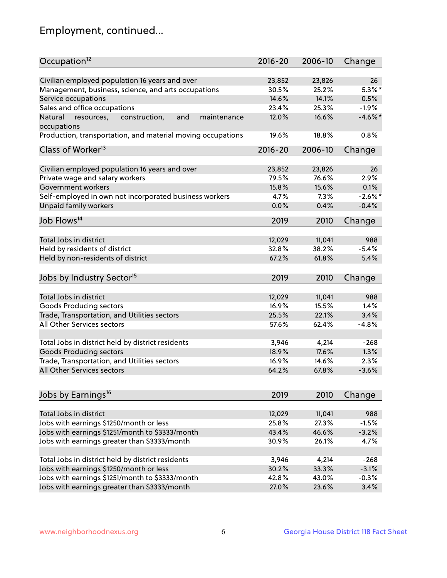## Employment, continued...

| Occupation <sup>12</sup>                                    | $2016 - 20$ | 2006-10 | Change     |
|-------------------------------------------------------------|-------------|---------|------------|
| Civilian employed population 16 years and over              | 23,852      | 23,826  | 26         |
| Management, business, science, and arts occupations         | 30.5%       | 25.2%   | $5.3\%$ *  |
| Service occupations                                         | 14.6%       | 14.1%   | 0.5%       |
| Sales and office occupations                                | 23.4%       | 25.3%   | $-1.9%$    |
| and<br>Natural<br>maintenance                               | 12.0%       | 16.6%   | $-4.6\%$ * |
| resources,<br>construction,<br>occupations                  |             |         |            |
| Production, transportation, and material moving occupations | 19.6%       | 18.8%   | 0.8%       |
| Class of Worker <sup>13</sup>                               | $2016 - 20$ | 2006-10 | Change     |
|                                                             |             |         | 26         |
| Civilian employed population 16 years and over              | 23,852      | 23,826  | 2.9%       |
| Private wage and salary workers                             | 79.5%       | 76.6%   |            |
| Government workers                                          | 15.8%       | 15.6%   | 0.1%       |
| Self-employed in own not incorporated business workers      | 4.7%        | 7.3%    | $-2.6\%$ * |
| Unpaid family workers                                       | 0.0%        | 0.4%    | $-0.4%$    |
| Job Flows <sup>14</sup>                                     | 2019        | 2010    | Change     |
|                                                             |             |         |            |
| Total Jobs in district                                      | 12,029      | 11,041  | 988        |
| Held by residents of district                               | 32.8%       | 38.2%   | $-5.4%$    |
| Held by non-residents of district                           | 67.2%       | 61.8%   | 5.4%       |
| Jobs by Industry Sector <sup>15</sup>                       | 2019        | 2010    | Change     |
| Total Jobs in district                                      | 12,029      | 11,041  | 988        |
|                                                             |             |         |            |
| Goods Producing sectors                                     | 16.9%       | 15.5%   | 1.4%       |
| Trade, Transportation, and Utilities sectors                | 25.5%       | 22.1%   | 3.4%       |
| All Other Services sectors                                  | 57.6%       | 62.4%   | $-4.8%$    |
| Total Jobs in district held by district residents           | 3,946       | 4,214   | $-268$     |
| <b>Goods Producing sectors</b>                              | 18.9%       | 17.6%   | 1.3%       |
| Trade, Transportation, and Utilities sectors                | 16.9%       | 14.6%   | 2.3%       |
| All Other Services sectors                                  | 64.2%       | 67.8%   | $-3.6%$    |
|                                                             |             |         |            |
| Jobs by Earnings <sup>16</sup>                              | 2019        | 2010    | Change     |
|                                                             |             |         |            |
| Total Jobs in district                                      | 12,029      | 11,041  | 988        |
| Jobs with earnings \$1250/month or less                     | 25.8%       | 27.3%   | $-1.5%$    |
| Jobs with earnings \$1251/month to \$3333/month             | 43.4%       | 46.6%   | $-3.2%$    |
| Jobs with earnings greater than \$3333/month                | 30.9%       | 26.1%   | 4.7%       |
| Total Jobs in district held by district residents           | 3,946       | 4,214   | $-268$     |
| Jobs with earnings \$1250/month or less                     | 30.2%       | 33.3%   | $-3.1%$    |
| Jobs with earnings \$1251/month to \$3333/month             | 42.8%       | 43.0%   | $-0.3%$    |
| Jobs with earnings greater than \$3333/month                | 27.0%       | 23.6%   | 3.4%       |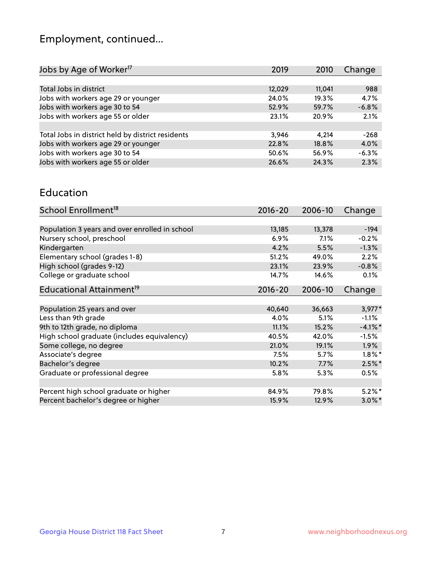## Employment, continued...

| 2019   | 2010   | Change  |
|--------|--------|---------|
|        |        |         |
| 12,029 | 11,041 | 988     |
| 24.0%  | 19.3%  | 4.7%    |
| 52.9%  | 59.7%  | $-6.8%$ |
| 23.1%  | 20.9%  | 2.1%    |
|        |        |         |
| 3.946  | 4.214  | $-268$  |
| 22.8%  | 18.8%  | 4.0%    |
| 50.6%  | 56.9%  | $-6.3%$ |
| 26.6%  | 24.3%  | 2.3%    |
|        |        |         |

#### Education

| School Enrollment <sup>18</sup>                | $2016 - 20$ | 2006-10 | Change     |
|------------------------------------------------|-------------|---------|------------|
|                                                |             |         |            |
| Population 3 years and over enrolled in school | 13,185      | 13,378  | $-194$     |
| Nursery school, preschool                      | 6.9%        | 7.1%    | $-0.2%$    |
| Kindergarten                                   | 4.2%        | 5.5%    | $-1.3%$    |
| Elementary school (grades 1-8)                 | 51.2%       | 49.0%   | 2.2%       |
| High school (grades 9-12)                      | 23.1%       | 23.9%   | $-0.8%$    |
| College or graduate school                     | 14.7%       | 14.6%   | 0.1%       |
| Educational Attainment <sup>19</sup>           | $2016 - 20$ | 2006-10 | Change     |
|                                                |             |         |            |
| Population 25 years and over                   | 40,640      | 36,663  | $3,977*$   |
| Less than 9th grade                            | 4.0%        | 5.1%    | $-1.1%$    |
| 9th to 12th grade, no diploma                  | 11.1%       | 15.2%   | $-4.1\%$ * |
| High school graduate (includes equivalency)    | 40.5%       | 42.0%   | $-1.5%$    |
| Some college, no degree                        | 21.0%       | 19.1%   | 1.9%       |
| Associate's degree                             | 7.5%        | 5.7%    | $1.8\%$ *  |
| Bachelor's degree                              | 10.2%       | 7.7%    | $2.5\%$ *  |
| Graduate or professional degree                | 5.8%        | 5.3%    | 0.5%       |
|                                                |             |         |            |
| Percent high school graduate or higher         | 84.9%       | 79.8%   | $5.2\%$ *  |
| Percent bachelor's degree or higher            | 15.9%       | 12.9%   | $3.0\%$ *  |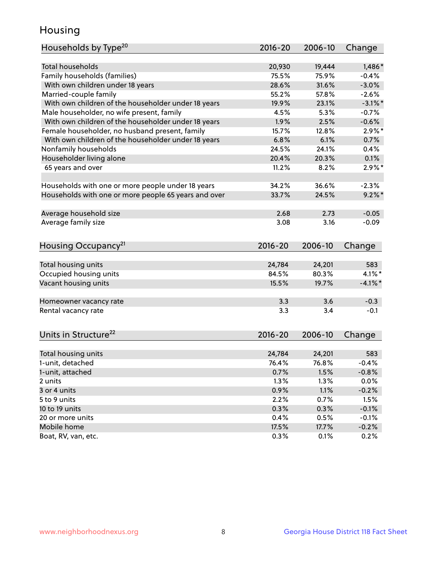## Housing

| Households by Type <sup>20</sup>                     | 2016-20 | 2006-10 | Change     |
|------------------------------------------------------|---------|---------|------------|
|                                                      |         |         |            |
| <b>Total households</b>                              | 20,930  | 19,444  | 1,486*     |
| Family households (families)                         | 75.5%   | 75.9%   | $-0.4%$    |
| With own children under 18 years                     | 28.6%   | 31.6%   | $-3.0%$    |
| Married-couple family                                | 55.2%   | 57.8%   | $-2.6%$    |
| With own children of the householder under 18 years  | 19.9%   | 23.1%   | $-3.1\%$ * |
| Male householder, no wife present, family            | 4.5%    | 5.3%    | $-0.7%$    |
| With own children of the householder under 18 years  | 1.9%    | 2.5%    | $-0.6%$    |
| Female householder, no husband present, family       | 15.7%   | 12.8%   | $2.9\%$ *  |
| With own children of the householder under 18 years  | 6.8%    | 6.1%    | 0.7%       |
| Nonfamily households                                 | 24.5%   | 24.1%   | 0.4%       |
| Householder living alone                             | 20.4%   | 20.3%   | 0.1%       |
| 65 years and over                                    | 11.2%   | 8.2%    | $2.9\%$ *  |
|                                                      |         |         |            |
| Households with one or more people under 18 years    | 34.2%   | 36.6%   | $-2.3%$    |
| Households with one or more people 65 years and over | 33.7%   | 24.5%   | $9.2\%$ *  |
|                                                      |         |         |            |
| Average household size                               | 2.68    | 2.73    | $-0.05$    |
| Average family size                                  | 3.08    | 3.16    | $-0.09$    |
|                                                      |         |         |            |
| Housing Occupancy <sup>21</sup>                      | 2016-20 | 2006-10 | Change     |
|                                                      |         |         |            |
| Total housing units                                  | 24,784  | 24,201  | 583        |
| Occupied housing units                               | 84.5%   | 80.3%   | $4.1\%$ *  |
| Vacant housing units                                 | 15.5%   | 19.7%   | $-4.1\%$ * |
|                                                      |         |         |            |
| Homeowner vacancy rate                               | 3.3     | 3.6     | $-0.3$     |
| Rental vacancy rate                                  | 3.3     | 3.4     | $-0.1$     |
|                                                      |         |         |            |
| Units in Structure <sup>22</sup>                     | 2016-20 | 2006-10 |            |
|                                                      |         |         | Change     |
| Total housing units                                  | 24,784  | 24,201  | 583        |
| 1-unit, detached                                     | 76.4%   | 76.8%   | $-0.4%$    |
| 1-unit, attached                                     | 0.7%    | 1.5%    | $-0.8%$    |
| 2 units                                              | 1.3%    | 1.3%    | 0.0%       |
| 3 or 4 units                                         | 0.9%    | 1.1%    | $-0.2%$    |
| 5 to 9 units                                         | 2.2%    | 0.7%    | 1.5%       |
| 10 to 19 units                                       | 0.3%    | 0.3%    | $-0.1%$    |
| 20 or more units                                     | 0.4%    | 0.5%    | $-0.1%$    |
| Mobile home                                          | 17.5%   | 17.7%   | $-0.2%$    |
| Boat, RV, van, etc.                                  | 0.3%    | 0.1%    | 0.2%       |
|                                                      |         |         |            |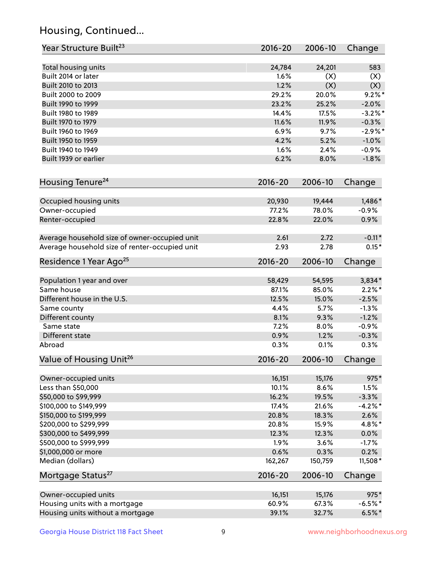## Housing, Continued...

| Year Structure Built <sup>23</sup>             | $2016 - 20$ | 2006-10 | Change     |
|------------------------------------------------|-------------|---------|------------|
| Total housing units                            | 24,784      | 24,201  | 583        |
| Built 2014 or later                            | 1.6%        | (X)     | (X)        |
| Built 2010 to 2013                             | 1.2%        | (X)     | (X)        |
| Built 2000 to 2009                             | 29.2%       | 20.0%   | $9.2\%$ *  |
| Built 1990 to 1999                             | 23.2%       | 25.2%   | $-2.0%$    |
| Built 1980 to 1989                             | 14.4%       | 17.5%   | $-3.2\%$ * |
| Built 1970 to 1979                             | 11.6%       | 11.9%   | $-0.3%$    |
| Built 1960 to 1969                             | 6.9%        | 9.7%    | $-2.9%$ *  |
| Built 1950 to 1959                             | 4.2%        | 5.2%    | $-1.0%$    |
| Built 1940 to 1949                             | 1.6%        | 2.4%    | $-0.9%$    |
| Built 1939 or earlier                          | 6.2%        | 8.0%    | $-1.8%$    |
| Housing Tenure <sup>24</sup>                   | $2016 - 20$ | 2006-10 | Change     |
| Occupied housing units                         | 20,930      | 19,444  | $1,486*$   |
| Owner-occupied                                 | 77.2%       | 78.0%   | $-0.9%$    |
| Renter-occupied                                | 22.8%       | 22.0%   | 0.9%       |
| Average household size of owner-occupied unit  | 2.61        | 2.72    | $-0.11*$   |
| Average household size of renter-occupied unit | 2.93        | 2.78    | $0.15*$    |
| Residence 1 Year Ago <sup>25</sup>             | 2016-20     | 2006-10 | Change     |
| Population 1 year and over                     | 58,429      | 54,595  | 3,834*     |
| Same house                                     | 87.1%       | 85.0%   | $2.2\%$ *  |
| Different house in the U.S.                    | 12.5%       | 15.0%   | $-2.5%$    |
| Same county                                    | 4.4%        | 5.7%    | $-1.3%$    |
| Different county                               | 8.1%        | 9.3%    | $-1.2%$    |
| Same state                                     | 7.2%        | 8.0%    | $-0.9%$    |
| Different state                                | 0.9%        | 1.2%    | $-0.3%$    |
| Abroad                                         | 0.3%        | 0.1%    | 0.3%       |
| Value of Housing Unit <sup>26</sup>            | $2016 - 20$ | 2006-10 | Change     |
| Owner-occupied units                           | 16,151      | 15,176  | 975*       |
| Less than \$50,000                             | 10.1%       | 8.6%    | 1.5%       |
| \$50,000 to \$99,999                           | 16.2%       | 19.5%   | $-3.3%$    |
| \$100,000 to \$149,999                         | 17.4%       | 21.6%   | $-4.2%$ *  |
| \$150,000 to \$199,999                         | 20.8%       | 18.3%   | 2.6%       |
| \$200,000 to \$299,999                         | 20.8%       | 15.9%   | 4.8%*      |
| \$300,000 to \$499,999                         | 12.3%       | 12.3%   | 0.0%       |
| \$500,000 to \$999,999                         | 1.9%        | 3.6%    | $-1.7%$    |
| \$1,000,000 or more                            | 0.6%        | 0.3%    | 0.2%       |
| Median (dollars)                               | 162,267     | 150,759 | $11,508*$  |
| Mortgage Status <sup>27</sup>                  | $2016 - 20$ | 2006-10 | Change     |
| Owner-occupied units                           | 16,151      | 15,176  | 975*       |
| Housing units with a mortgage                  | 60.9%       | 67.3%   | $-6.5%$ *  |
| Housing units without a mortgage               | 39.1%       | 32.7%   | $6.5%$ *   |
|                                                |             |         |            |

Georgia House District 118 Fact Sheet 9 9 9 www.neighborhoodnexus.org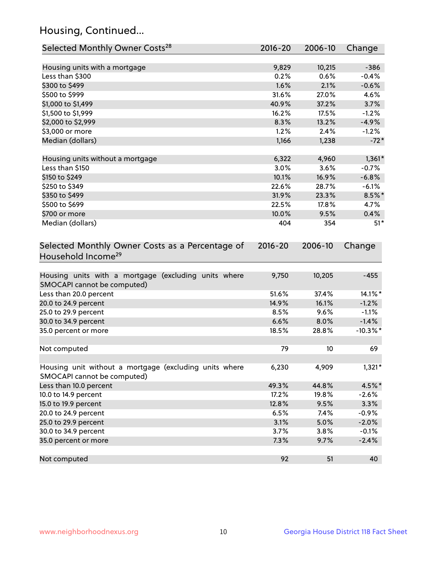## Housing, Continued...

| Selected Monthly Owner Costs <sup>28</sup>                                            | 2016-20     | 2006-10 | Change      |
|---------------------------------------------------------------------------------------|-------------|---------|-------------|
| Housing units with a mortgage                                                         | 9,829       | 10,215  | $-386$      |
| Less than \$300                                                                       | 0.2%        | 0.6%    | $-0.4%$     |
| \$300 to \$499                                                                        | 1.6%        | 2.1%    | $-0.6%$     |
| \$500 to \$999                                                                        | 31.6%       | 27.0%   | 4.6%        |
| \$1,000 to \$1,499                                                                    | 40.9%       | 37.2%   | 3.7%        |
| \$1,500 to \$1,999                                                                    | 16.2%       | 17.5%   | $-1.2%$     |
| \$2,000 to \$2,999                                                                    | 8.3%        | 13.2%   | $-4.9%$     |
| \$3,000 or more                                                                       | 1.2%        | 2.4%    | $-1.2%$     |
| Median (dollars)                                                                      | 1,166       | 1,238   | $-72*$      |
| Housing units without a mortgage                                                      | 6,322       | 4,960   | $1,361*$    |
| Less than \$150                                                                       | 3.0%        | 3.6%    | $-0.7%$     |
| \$150 to \$249                                                                        | 10.1%       | 16.9%   | $-6.8%$     |
| \$250 to \$349                                                                        | 22.6%       | 28.7%   | $-6.1%$     |
| \$350 to \$499                                                                        | 31.9%       | 23.3%   | $8.5\%$ *   |
| \$500 to \$699                                                                        | 22.5%       | 17.8%   | 4.7%        |
| \$700 or more                                                                         | 10.0%       | 9.5%    | 0.4%        |
| Median (dollars)                                                                      | 404         | 354     | $51*$       |
| Selected Monthly Owner Costs as a Percentage of<br>Household Income <sup>29</sup>     | $2016 - 20$ | 2006-10 | Change      |
| Housing units with a mortgage (excluding units where<br>SMOCAPI cannot be computed)   | 9,750       | 10,205  | $-455$      |
| Less than 20.0 percent                                                                | 51.6%       | 37.4%   | 14.1%*      |
| 20.0 to 24.9 percent                                                                  | 14.9%       | 16.1%   | $-1.2%$     |
| 25.0 to 29.9 percent                                                                  | 8.5%        | 9.6%    | $-1.1%$     |
| 30.0 to 34.9 percent                                                                  | 6.6%        | 8.0%    | $-1.4%$     |
| 35.0 percent or more                                                                  | 18.5%       | 28.8%   | $-10.3\%$ * |
| Not computed                                                                          | 79          | 10      | 69          |
| Housing unit without a mortgage (excluding units where<br>SMOCAPI cannot be computed) | 6,230       | 4,909   | $1,321*$    |
| Less than 10.0 percent                                                                | 49.3%       | 44.8%   | 4.5%*       |
| 10.0 to 14.9 percent                                                                  | 17.2%       | 19.8%   | $-2.6%$     |
| 15.0 to 19.9 percent                                                                  | 12.8%       | 9.5%    | 3.3%        |
| 20.0 to 24.9 percent                                                                  | 6.5%        | 7.4%    | $-0.9%$     |
| 25.0 to 29.9 percent                                                                  | 3.1%        | 5.0%    | $-2.0%$     |
| 30.0 to 34.9 percent                                                                  | 3.7%        | 3.8%    | $-0.1%$     |
| 35.0 percent or more                                                                  | 7.3%        | 9.7%    | $-2.4%$     |
| Not computed                                                                          | 92          | 51      | 40          |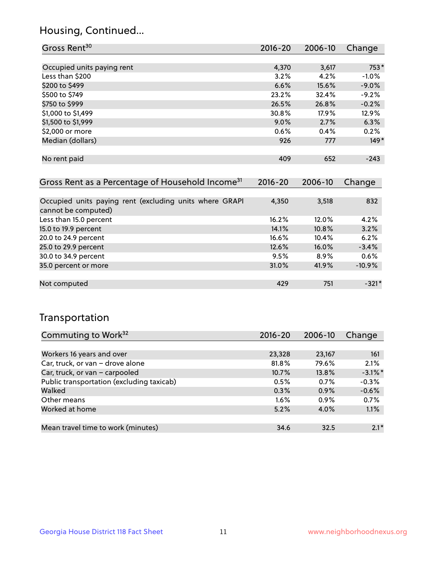### Housing, Continued...

| Gross Rent <sup>30</sup>                                     | 2016-20     | 2006-10  | Change  |
|--------------------------------------------------------------|-------------|----------|---------|
|                                                              |             |          |         |
| Occupied units paying rent                                   | 4,370       | 3,617    | 753*    |
| Less than \$200                                              | 3.2%        | 4.2%     | $-1.0%$ |
| \$200 to \$499                                               | 6.6%        | 15.6%    | $-9.0%$ |
| \$500 to \$749                                               | 23.2%       | 32.4%    | $-9.2%$ |
| \$750 to \$999                                               | 26.5%       | 26.8%    | $-0.2%$ |
| \$1,000 to \$1,499                                           | 30.8%       | $17.9\%$ | 12.9%   |
| \$1,500 to \$1,999                                           | $9.0\%$     | 2.7%     | 6.3%    |
| \$2,000 or more                                              | 0.6%        | 0.4%     | 0.2%    |
| Median (dollars)                                             | 926         | 777      | $149*$  |
|                                                              |             |          |         |
| No rent paid                                                 | 409         | 652      | $-243$  |
|                                                              |             |          |         |
| Gross Rent as a Percentage of Household Income <sup>31</sup> | $2016 - 20$ | 2006-10  | Change  |

| Occupied units paying rent (excluding units where GRAPI | 4,350 | 3,518   | 832      |
|---------------------------------------------------------|-------|---------|----------|
| cannot be computed)                                     |       |         |          |
| Less than 15.0 percent                                  | 16.2% | 12.0%   | 4.2%     |
| 15.0 to 19.9 percent                                    | 14.1% | 10.8%   | 3.2%     |
| 20.0 to 24.9 percent                                    | 16.6% | 10.4%   | 6.2%     |
| 25.0 to 29.9 percent                                    | 12.6% | 16.0%   | $-3.4%$  |
| 30.0 to 34.9 percent                                    | 9.5%  | $8.9\%$ | 0.6%     |
| 35.0 percent or more                                    | 31.0% | 41.9%   | $-10.9%$ |
|                                                         |       |         |          |
| Not computed                                            | 429   | 751     | $-321*$  |

### Transportation

| Commuting to Work <sup>32</sup>           | 2016-20 | 2006-10 | Change     |
|-------------------------------------------|---------|---------|------------|
|                                           |         |         |            |
| Workers 16 years and over                 | 23,328  | 23,167  | 161        |
| Car, truck, or van - drove alone          | 81.8%   | 79.6%   | 2.1%       |
| Car, truck, or van - carpooled            | 10.7%   | 13.8%   | $-3.1\%$ * |
| Public transportation (excluding taxicab) | 0.5%    | 0.7%    | $-0.3%$    |
| Walked                                    | 0.3%    | 0.9%    | $-0.6%$    |
| Other means                               | $1.6\%$ | $0.9\%$ | 0.7%       |
| Worked at home                            | 5.2%    | 4.0%    | 1.1%       |
|                                           |         |         |            |
| Mean travel time to work (minutes)        | 34.6    | 32.5    | $2.1*$     |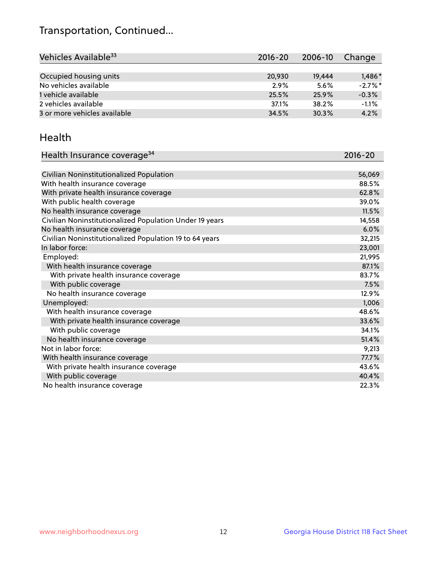## Transportation, Continued...

| Vehicles Available <sup>33</sup> | 2016-20 | 2006-10 | Change     |
|----------------------------------|---------|---------|------------|
|                                  |         |         |            |
| Occupied housing units           | 20,930  | 19,444  | $1,486*$   |
| No vehicles available            | 2.9%    | 5.6%    | $-2.7\%$ * |
| 1 vehicle available              | 25.5%   | 25.9%   | $-0.3%$    |
| 2 vehicles available             | 37.1%   | 38.2%   | $-1.1%$    |
| 3 or more vehicles available     | 34.5%   | 30.3%   | 4.2%       |

#### Health

| Health Insurance coverage <sup>34</sup>                 | 2016-20 |
|---------------------------------------------------------|---------|
|                                                         |         |
| Civilian Noninstitutionalized Population                | 56,069  |
| With health insurance coverage                          | 88.5%   |
| With private health insurance coverage                  | 62.8%   |
| With public health coverage                             | 39.0%   |
| No health insurance coverage                            | 11.5%   |
| Civilian Noninstitutionalized Population Under 19 years | 14,558  |
| No health insurance coverage                            | 6.0%    |
| Civilian Noninstitutionalized Population 19 to 64 years | 32,215  |
| In labor force:                                         | 23,001  |
| Employed:                                               | 21,995  |
| With health insurance coverage                          | 87.1%   |
| With private health insurance coverage                  | 83.7%   |
| With public coverage                                    | 7.5%    |
| No health insurance coverage                            | 12.9%   |
| Unemployed:                                             | 1,006   |
| With health insurance coverage                          | 48.6%   |
| With private health insurance coverage                  | 33.6%   |
| With public coverage                                    | 34.1%   |
| No health insurance coverage                            | 51.4%   |
| Not in labor force:                                     | 9,213   |
| With health insurance coverage                          | 77.7%   |
| With private health insurance coverage                  | 43.6%   |
| With public coverage                                    | 40.4%   |
| No health insurance coverage                            | 22.3%   |